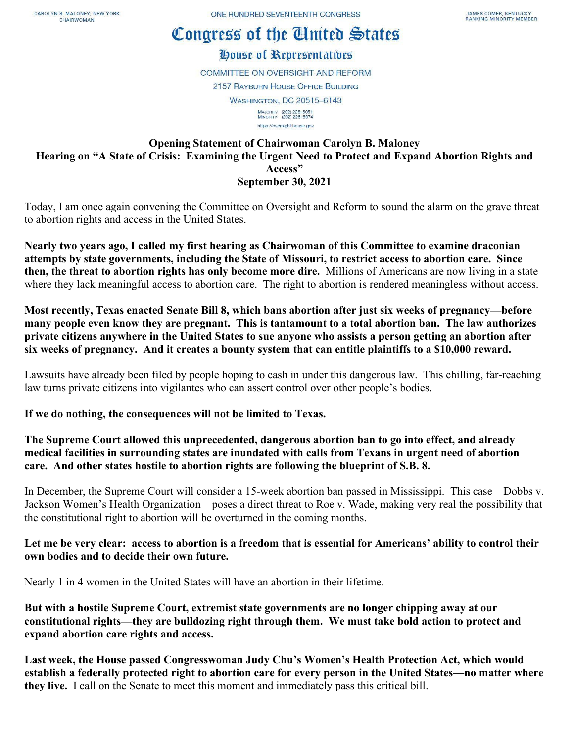## Congress of the Cinited States

## House of Representatives

**COMMITTEE ON OVERSIGHT AND REFORM 2157 RAYBURN HOUSE OFFICE BUILDING WASHINGTON, DC 20515-6143** MAJORITY (202) 225-5051<br>MINORITY (202) 225-5074 https://oversight.house.gov

## **Opening Statement of Chairwoman Carolyn B. Maloney Hearing on "A State of Crisis: Examining the Urgent Need to Protect and Expand Abortion Rights and Access" September 30, 2021**

Today, I am once again convening the Committee on Oversight and Reform to sound the alarm on the grave threat to abortion rights and access in the United States.

**Nearly two years ago, I called my first hearing as Chairwoman of this Committee to examine draconian attempts by state governments, including the State of Missouri, to restrict access to abortion care. Since then, the threat to abortion rights has only become more dire.** Millions of Americans are now living in a state where they lack meaningful access to abortion care. The right to abortion is rendered meaningless without access.

**Most recently, Texas enacted Senate Bill 8, which bans abortion after just six weeks of pregnancy—before many people even know they are pregnant. This is tantamount to a total abortion ban. The law authorizes private citizens anywhere in the United States to sue anyone who assists a person getting an abortion after six weeks of pregnancy. And it creates a bounty system that can entitle plaintiffs to a \$10,000 reward.** 

Lawsuits have already been filed by people hoping to cash in under this dangerous law. This chilling, far-reaching law turns private citizens into vigilantes who can assert control over other people's bodies.

**If we do nothing, the consequences will not be limited to Texas.**

**The Supreme Court allowed this unprecedented, dangerous abortion ban to go into effect, and already medical facilities in surrounding states are inundated with calls from Texans in urgent need of abortion care. And other states hostile to abortion rights are following the blueprint of S.B. 8.**

In December, the Supreme Court will consider a 15-week abortion ban passed in Mississippi. This case—Dobbs v. Jackson Women's Health Organization—poses a direct threat to Roe v. Wade, making very real the possibility that the constitutional right to abortion will be overturned in the coming months.

## **Let me be very clear: access to abortion is a freedom that is essential for Americans' ability to control their own bodies and to decide their own future.**

Nearly 1 in 4 women in the United States will have an abortion in their lifetime.

**But with a hostile Supreme Court, extremist state governments are no longer chipping away at our constitutional rights—they are bulldozing right through them. We must take bold action to protect and expand abortion care rights and access.**

**Last week, the House passed Congresswoman Judy Chu's Women's Health Protection Act, which would establish a federally protected right to abortion care for every person in the United States—no matter where they live.** I call on the Senate to meet this moment and immediately pass this critical bill.